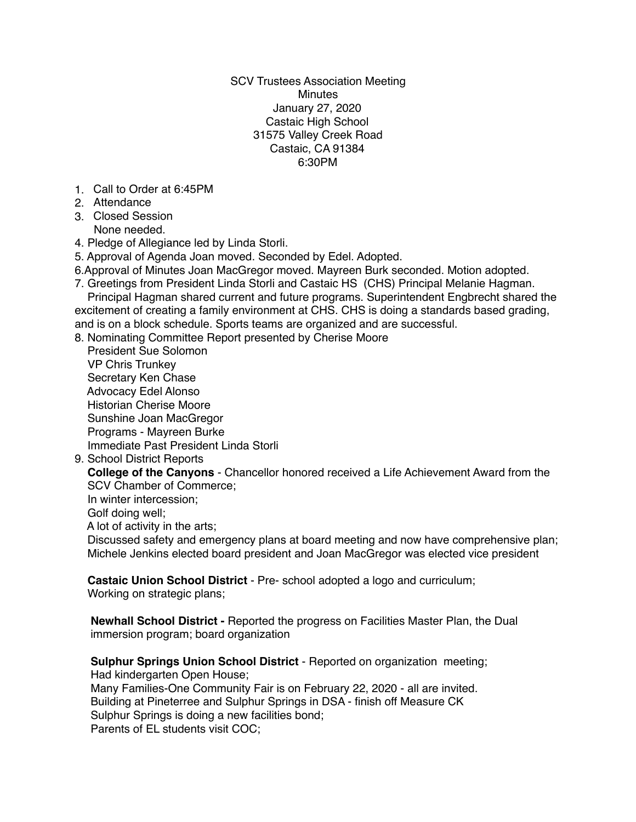SCV Trustees Association Meeting Minutes January 27, 2020 Castaic High School 31575 Valley Creek Road Castaic, CA 91384 6:30PM

- 1. Call to Order at 6:45PM
- 2. Attendance
- 3. Closed Session None needed.
- 4. Pledge of Allegiance led by Linda Storli.
- 5. Approval of Agenda Joan moved. Seconded by Edel. Adopted.
- 6.Approval of Minutes Joan MacGregor moved. Mayreen Burk seconded. Motion adopted.
- 7. Greetings from President Linda Storli and Castaic HS (CHS) Principal Melanie Hagman. Principal Hagman shared current and future programs. Superintendent Engbrecht shared the

excitement of creating a family environment at CHS. CHS is doing a standards based grading, and is on a block schedule. Sports teams are organized and are successful.

- 8. Nominating Committee Report presented by Cherise Moore
- President Sue Solomon VP Chris Trunkey Secretary Ken Chase Advocacy Edel Alonso Historian Cherise Moore Sunshine Joan MacGregor Programs - Mayreen Burke Immediate Past President Linda Storli
- 9. School District Reports

 **College of the Canyons** - Chancellor honored received a Life Achievement Award from the SCV Chamber of Commerce;

In winter intercession;

Golf doing well;

A lot of activity in the arts;

 Discussed safety and emergency plans at board meeting and now have comprehensive plan; Michele Jenkins elected board president and Joan MacGregor was elected vice president

**Castaic Union School District** - Pre- school adopted a logo and curriculum;

Working on strategic plans;

 **Newhall School District -** Reported the progress on Facilities Master Plan, the Dual immersion program; board organization

**Sulphur Springs Union School District** - Reported on organization meeting;

Had kindergarten Open House;

 Many Families-One Community Fair is on February 22, 2020 - all are invited. Building at Pineterree and Sulphur Springs in DSA - finish off Measure CK Sulphur Springs is doing a new facilities bond; Parents of EL students visit COC;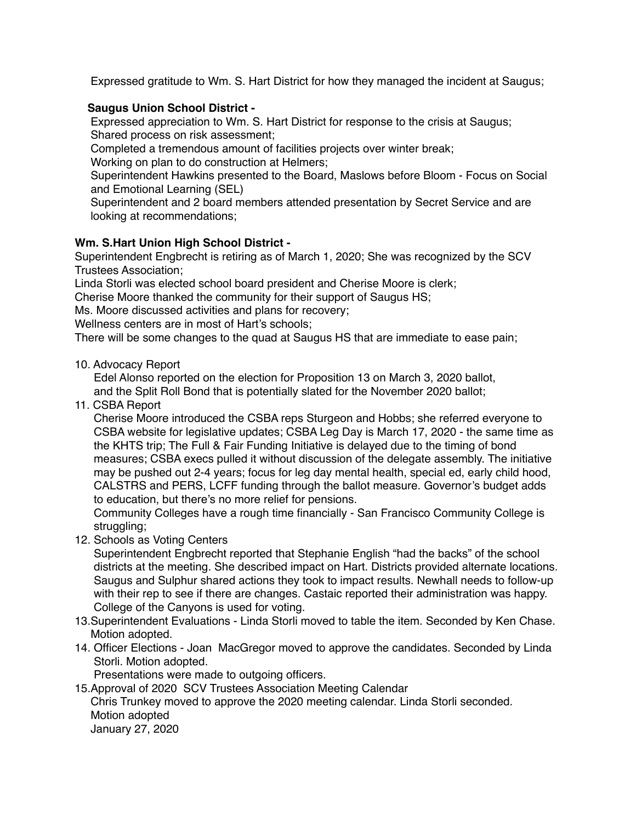Expressed gratitude to Wm. S. Hart District for how they managed the incident at Saugus;

## **Saugus Union School District -**

 Expressed appreciation to Wm. S. Hart District for response to the crisis at Saugus; Shared process on risk assessment;

Completed a tremendous amount of facilities projects over winter break;

Working on plan to do construction at Helmers;

 Superintendent Hawkins presented to the Board, Maslows before Bloom - Focus on Social and Emotional Learning (SEL)

 Superintendent and 2 board members attended presentation by Secret Service and are looking at recommendations;

## **Wm. S.Hart Union High School District -**

Superintendent Engbrecht is retiring as of March 1, 2020; She was recognized by the SCV Trustees Association;

Linda Storli was elected school board president and Cherise Moore is clerk;

Cherise Moore thanked the community for their support of Saugus HS;

Ms. Moore discussed activities and plans for recovery;

Wellness centers are in most of Hart's schools;

There will be some changes to the quad at Saugus HS that are immediate to ease pain;

10. Advocacy Report

 Edel Alonso reported on the election for Proposition 13 on March 3, 2020 ballot, and the Split Roll Bond that is potentially slated for the November 2020 ballot;

11. CSBA Report

 Cherise Moore introduced the CSBA reps Sturgeon and Hobbs; she referred everyone to CSBA website for legislative updates; CSBA Leg Day is March 17, 2020 - the same time as the KHTS trip; The Full & Fair Funding Initiative is delayed due to the timing of bond measures; CSBA execs pulled it without discussion of the delegate assembly. The initiative may be pushed out 2-4 years; focus for leg day mental health, special ed, early child hood, CALSTRS and PERS, LCFF funding through the ballot measure. Governor's budget adds to education, but there's no more relief for pensions.

 Community Colleges have a rough time financially - San Francisco Community College is struggling;

12. Schools as Voting Centers

 Superintendent Engbrecht reported that Stephanie English "had the backs" of the school districts at the meeting. She described impact on Hart. Districts provided alternate locations. Saugus and Sulphur shared actions they took to impact results. Newhall needs to follow-up with their rep to see if there are changes. Castaic reported their administration was happy. College of the Canyons is used for voting.

- 13.Superintendent Evaluations Linda Storli moved to table the item. Seconded by Ken Chase. Motion adopted.
- 14. Officer Elections Joan MacGregor moved to approve the candidates. Seconded by Linda Storli. Motion adopted.

Presentations were made to outgoing officers.

15.Approval of 2020 SCV Trustees Association Meeting Calendar Chris Trunkey moved to approve the 2020 meeting calendar. Linda Storli seconded. Motion adopted

January 27, 2020